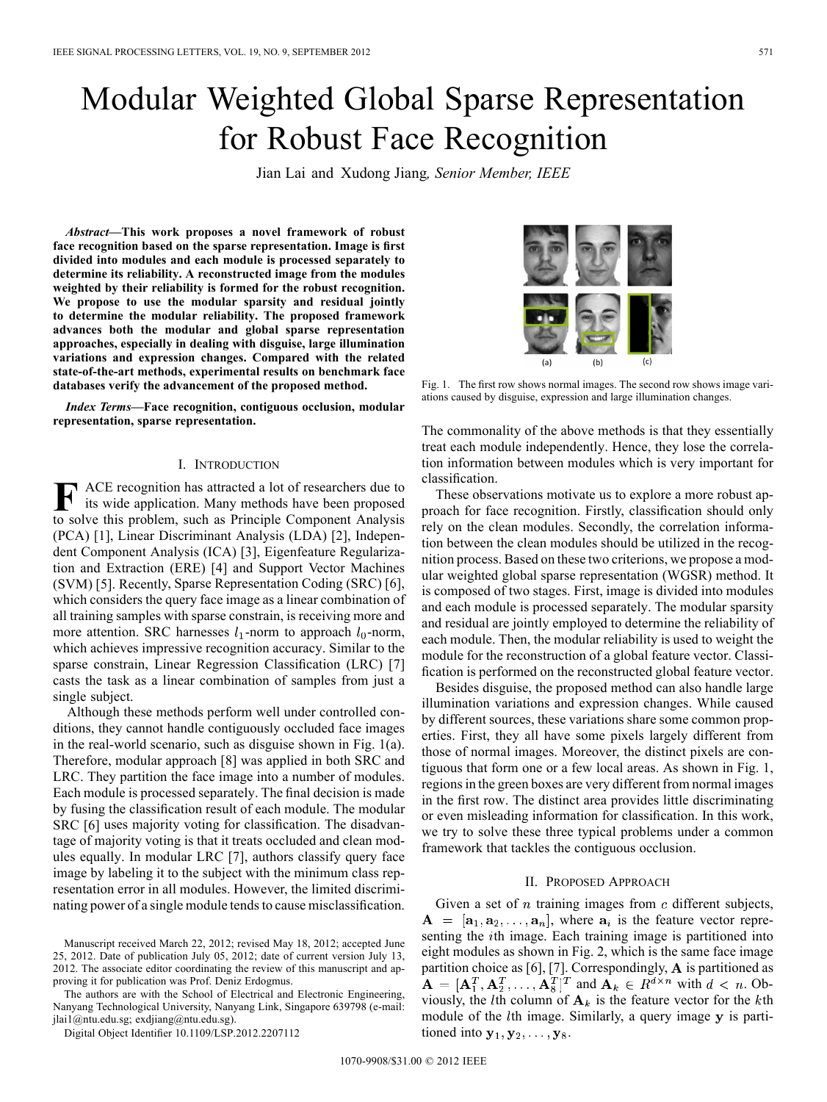# Modular Weighted Global Sparse Representation for Robust Face Recognition

Jian Lai and Xudong Jiang*, Senior Member, IEEE*

*Abstract—***This work proposes a novel framework of robust face recognition based on the sparse representation. Image is first divided into modules and each module is processed separately to determine its reliability. A reconstructed image from the modules weighted by their reliability is formed for the robust recognition. We propose to use the modular sparsity and residual jointly to determine the modular reliability. The proposed framework advances both the modular and global sparse representation approaches, especially in dealing with disguise, large illumination variations and expression changes. Compared with the related state-of-the-art methods, experimental results on benchmark face databases verify the advancement of the proposed method.**

*Index Terms—***Face recognition, contiguous occlusion, modular representation, sparse representation.**

## I. INTRODUCTION

**F** ACE recognition has attracted a lot of researchers due to its wide application. Many methods have been proposed to solve this problem, such as Principle Component Analysis (PCA) [1], Linear Discriminant Analysis (LDA) [2], Independent Component Analysis (ICA) [3], Eigenfeature Regularization and Extraction (ERE) [4] and Support Vector Machines (SVM) [5]. Recently, Sparse Representation Coding (SRC) [6], which considers the query face image as a linear combination of all training samples with sparse constrain, is receiving more and more attention. SRC harnesses  $l_1$ -norm to approach  $l_0$ -norm, which achieves impressive recognition accuracy. Similar to the sparse constrain, Linear Regression Classification (LRC) [7] casts the task as a linear combination of samples from just a single subject.

Although these methods perform well under controlled conditions, they cannot handle contiguously occluded face images in the real-world scenario, such as disguise shown in Fig. 1(a). Therefore, modular approach [8] was applied in both SRC and LRC. They partition the face image into a number of modules. Each module is processed separately. The final decision is made by fusing the classification result of each module. The modular SRC [6] uses majority voting for classification. The disadvantage of majority voting is that it treats occluded and clean modules equally. In modular LRC [7], authors classify query face image by labeling it to the subject with the minimum class representation error in all modules. However, the limited discriminating power of a single module tends to cause misclassification.

The authors are with the School of Electrical and Electronic Engineering, Nanyang Technological University, Nanyang Link, Singapore 639798 (e-mail: jlai1@ntu.edu.sg; exdjiang@ntu.edu.sg).

Digital Object Identifier 10.1109/LSP.2012.2207112



Fig. 1. The first row shows normal images. The second row shows image variations caused by disguise, expression and large illumination changes.

The commonality of the above methods is that they essentially treat each module independently. Hence, they lose the correlation information between modules which is very important for classification.

These observations motivate us to explore a more robust approach for face recognition. Firstly, classification should only rely on the clean modules. Secondly, the correlation information between the clean modules should be utilized in the recognition process. Based on these two criterions, we propose a modular weighted global sparse representation (WGSR) method. It is composed of two stages. First, image is divided into modules and each module is processed separately. The modular sparsity and residual are jointly employed to determine the reliability of each module. Then, the modular reliability is used to weight the module for the reconstruction of a global feature vector. Classification is performed on the reconstructed global feature vector.

Besides disguise, the proposed method can also handle large illumination variations and expression changes. While caused by different sources, these variations share some common properties. First, they all have some pixels largely different from those of normal images. Moreover, the distinct pixels are contiguous that form one or a few local areas. As shown in Fig. 1, regions in the green boxes are very different from normal images in the first row. The distinct area provides little discriminating or even misleading information for classification. In this work, we try to solve these three typical problems under a common framework that tackles the contiguous occlusion.

### II. PROPOSED APPROACH

Given a set of  $n$  training images from  $c$  different subjects,  $A = [\mathbf{a}_1, \mathbf{a}_2, \dots, \mathbf{a}_n]$ , where  $\mathbf{a}_i$  is the feature vector representing the  $i$ th image. Each training image is partitioned into eight modules as shown in Fig. 2, which is the same face image partition choice as  $[6]$ ,  $[7]$ . Correspondingly,  $A$  is partitioned as  $\mathbf{A} = [\mathbf{A}_1^T, \mathbf{A}_2^T, \dots, \mathbf{A}_8^T]^T$  and  $\mathbf{A}_k \in R^{d \times n}$  with  $d < n$ . Obviously, the *l*th column of  $A_k$  is the feature vector for the *k*th module of the  $l$ th image. Similarly, a query image y is partitioned into  $y_1, y_2, \ldots, y_8$ .

Manuscript received March 22, 2012; revised May 18, 2012; accepted June 25, 2012. Date of publication July 05, 2012; date of current version July 13, 2012. The associate editor coordinating the review of this manuscript and approving it for publication was Prof. Deniz Erdogmus.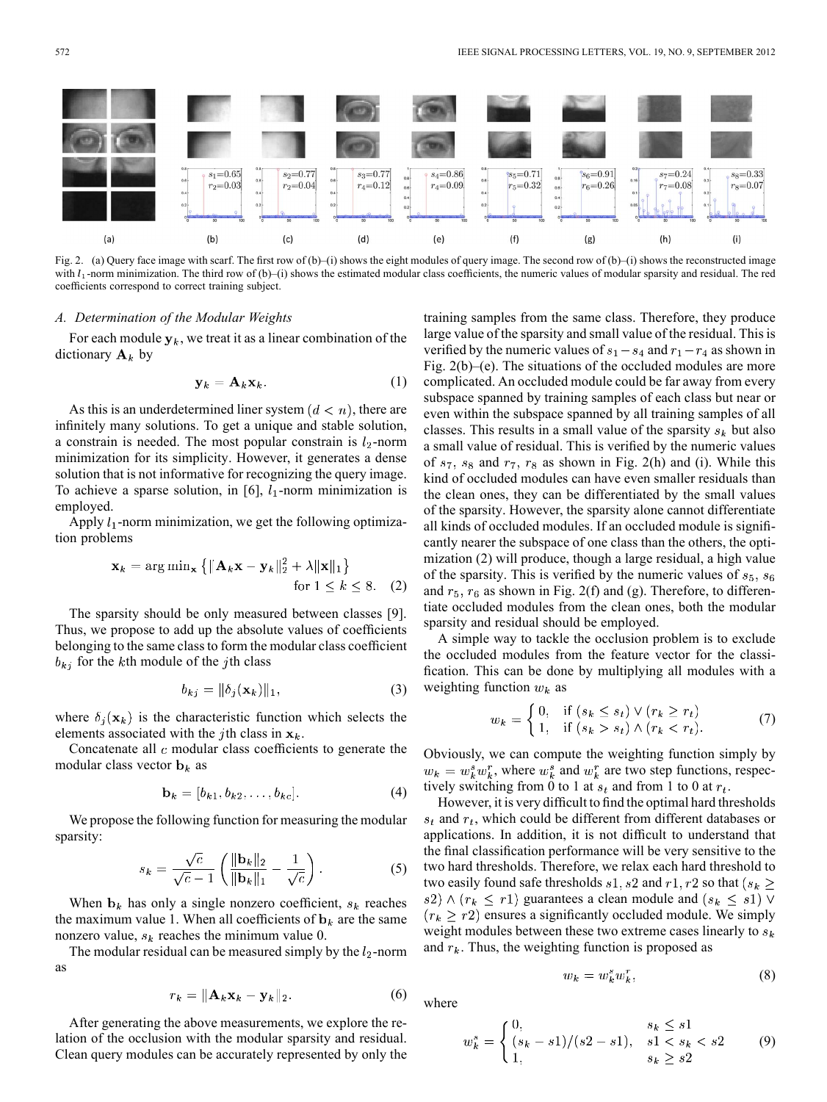

Fig. 2. (a) Query face image with scarf. The first row of  $(b)$ –(i) shows the eight modules of query image. The second row of  $(b)$ –(i) shows the reconstructed image with  $l_1$ -norm minimization. The third row of (b)–(i) shows the estimated modular class coefficients, the numeric values of modular sparsity and residual. The red coefficients correspond to correct training subject.

## *A. Determination of the Modular Weights*

For each module  $y_k$ , we treat it as a linear combination of the dictionary  $A_k$  by

$$
\mathbf{y}_k = \mathbf{A}_k \mathbf{x}_k. \tag{1}
$$

As this is an underdetermined liner system  $(d < n)$ , there are infinitely many solutions. To get a unique and stable solution, a constrain is needed. The most popular constrain is  $l_2$ -norm minimization for its simplicity. However, it generates a dense solution that is not informative for recognizing the query image. To achieve a sparse solution, in [6],  $l_1$ -norm minimization is employed.

Apply  $l_1$ -norm minimization, we get the following optimization problems

$$
\mathbf{x}_{k} = \arg\min_{\mathbf{x}} \left\{ \|\mathbf{A}_{k}\mathbf{x} - \mathbf{y}_{k}\|_{2}^{2} + \lambda \|\mathbf{x}\|_{1} \right\}
$$
  
for  $1 \leq k \leq 8$ . (2)

The sparsity should be only measured between classes [9]. Thus, we propose to add up the absolute values of coefficients belonging to the same class to form the modular class coefficient  $b_{kj}$  for the kth module of the jth class

$$
b_{kj} = \|\delta_j(\mathbf{x}_k)\|_1,\tag{3}
$$

where  $\delta_i(\mathbf{x}_k)$  is the characteristic function which selects the elements associated with the *j*th class in  $x_k$ .

Concatenate all  $c$  modular class coefficients to generate the modular class vector  $\mathbf{b}_k$  as

$$
\mathbf{b}_k = [b_{k1}, b_{k2}, \dots, b_{kc}]. \tag{4}
$$

We propose the following function for measuring the modular sparsity:

$$
s_k = \frac{\sqrt{c}}{\sqrt{c} - 1} \left( \frac{\|\mathbf{b}_k\|_2}{\|\mathbf{b}_k\|_1} - \frac{1}{\sqrt{c}} \right).
$$
 (5)

When  $\mathbf{b}_k$  has only a single nonzero coefficient,  $s_k$  reaches the maximum value 1. When all coefficients of  $\mathbf{b}_k$  are the same nonzero value,  $s_k$  reaches the minimum value 0.

The modular residual can be measured simply by the  $l_2$ -norm as

$$
r_k = \|\mathbf{A}_k \mathbf{x}_k - \mathbf{y}_k\|_2. \tag{6}
$$

After generating the above measurements, we explore the relation of the occlusion with the modular sparsity and residual. Clean query modules can be accurately represented by only the

training samples from the same class. Therefore, they produce large value of the sparsity and small value of the residual. This is verified by the numeric values of  $s_1 - s_4$  and  $r_1 - r_4$  as shown in Fig. 2(b)–(e). The situations of the occluded modules are more complicated. An occluded module could be far away from every subspace spanned by training samples of each class but near or even within the subspace spanned by all training samples of all classes. This results in a small value of the sparsity  $s_k$  but also a small value of residual. This is verified by the numeric values of  $s_7$ ,  $s_8$  and  $r_7$ ,  $r_8$  as shown in Fig. 2(h) and (i). While this kind of occluded modules can have even smaller residuals than the clean ones, they can be differentiated by the small values of the sparsity. However, the sparsity alone cannot differentiate all kinds of occluded modules. If an occluded module is significantly nearer the subspace of one class than the others, the optimization (2) will produce, though a large residual, a high value of the sparsity. This is verified by the numeric values of  $s_5$ ,  $s_6$ and  $r_5$ ,  $r_6$  as shown in Fig. 2(f) and (g). Therefore, to differentiate occluded modules from the clean ones, both the modular sparsity and residual should be employed.

A simple way to tackle the occlusion problem is to exclude the occluded modules from the feature vector for the classification. This can be done by multiplying all modules with a weighting function  $w_k$  as

$$
w_k = \begin{cases} 0, & \text{if } (s_k \le s_t) \lor (r_k \ge r_t) \\ 1, & \text{if } (s_k > s_t) \land (r_k < r_t). \end{cases} \tag{7}
$$

Obviously, we can compute the weighting function simply by  $w_k = w_k^s w_k^r$ , where  $w_k^s$  and  $w_k^r$  are two step functions, respectively switching from 0 to 1 at  $s_t$  and from 1 to 0 at  $r_t$ .

However, it is very difficult to find the optimal hard thresholds  $s_t$  and  $r_t$ , which could be different from different databases or applications. In addition, it is not difficult to understand that the final classification performance will be very sensitive to the two hard thresholds. Therefore, we relax each hard threshold to two easily found safe thresholds  $s1, s2$  and  $r1, r2$  so that  $(s_k \geq$  $s(1) \wedge (r_k \leq r)$  guarantees a clean module and  $(s_k \leq s) \vee r$  $(r_k \geq r2)$  ensures a significantly occluded module. We simply weight modules between these two extreme cases linearly to  $s_k$ and  $r_k$ . Thus, the weighting function is proposed as

$$
v_k = w_k^s w_k^r,\tag{8}
$$

where

$$
w_k^s = \begin{cases} 0, & s_k \le s1 \\ (s_k - s1)/(s2 - s1), & s1 < s_k < s2 \\ 1, & s_k \ge s2 \end{cases}
$$
 (9)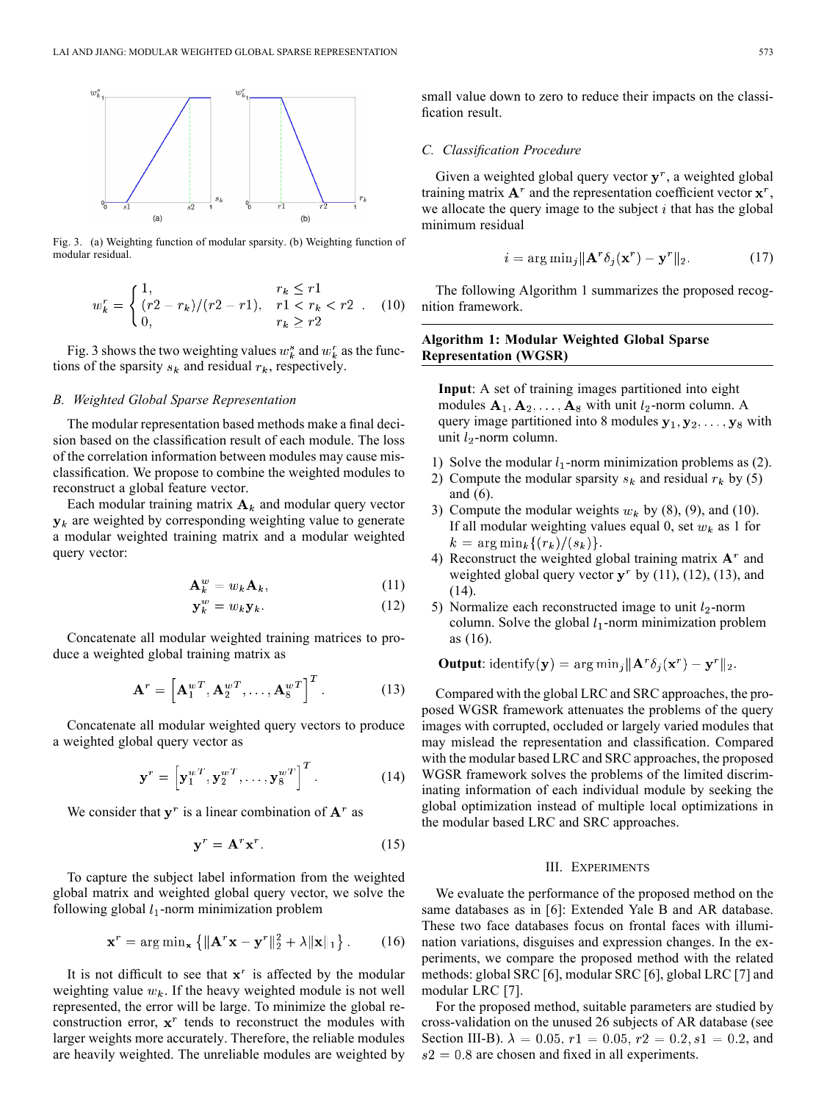

Fig. 3. (a) Weighting function of modular sparsity. (b) Weighting function of modular residual.

$$
w_k^r = \begin{cases} 1, & r_k \le r1 \\ (r2 - r_k)/(r2 - r1), & r1 < r_k < r2 \\ 0, & r_k \ge r2 \end{cases} . \tag{10}
$$

Fig. 3 shows the two weighting values  $w_k^s$  and  $w_k^r$  as the functions of the sparsity  $s_k$  and residual  $r_k$ , respectively.

# *B. Weighted Global Sparse Representation*

The modular representation based methods make a final decision based on the classification result of each module. The loss of the correlation information between modules may cause misclassification. We propose to combine the weighted modules to reconstruct a global feature vector.

Each modular training matrix  $A_k$  and modular query vector  $y_k$  are weighted by corresponding weighting value to generate a modular weighted training matrix and a modular weighted query vector:

$$
\mathbf{A}_k^w = w_k \mathbf{A}_k, \tag{11}
$$

$$
\mathbf{y}_k^w = w_k \mathbf{y}_k. \tag{12}
$$

Concatenate all modular weighted training matrices to produce a weighted global training matrix as

$$
\mathbf{A}^r = \left[ \mathbf{A}_1^{wT}, \mathbf{A}_2^{wT}, \dots, \mathbf{A}_8^{wT} \right]^T.
$$
 (13)

Concatenate all modular weighted query vectors to produce a weighted global query vector as

$$
\mathbf{y}^r = \left[ \mathbf{y}_1^{wT}, \mathbf{y}_2^{wT}, \dots, \mathbf{y}_8^{wT} \right]^T.
$$
 (14)

We consider that  $y^r$  is a linear combination of  $A^r$  as

$$
\mathbf{y}^r = \mathbf{A}^r \mathbf{x}^r. \tag{15}
$$

To capture the subject label information from the weighted global matrix and weighted global query vector, we solve the following global  $l_1$ -norm minimization problem

$$
\mathbf{x}^r = \arg\min_{\mathbf{x}} \left\{ \|\mathbf{A}^r \mathbf{x} - \mathbf{y}^r\|_2^2 + \lambda \|\mathbf{x}\|_1 \right\}.
$$
 (16)

It is not difficult to see that  $x^r$  is affected by the modular weighting value  $w_k$ . If the heavy weighted module is not well represented, the error will be large. To minimize the global reconstruction error,  $x^r$  tends to reconstruct the modules with larger weights more accurately. Therefore, the reliable modules are heavily weighted. The unreliable modules are weighted by small value down to zero to reduce their impacts on the classification result.

## *C. Classification Procedure*

Given a weighted global query vector  $y<sup>r</sup>$ , a weighted global training matrix  $A<sup>r</sup>$  and the representation coefficient vector  $x<sup>r</sup>$ , we allocate the query image to the subject  $i$  that has the global minimum residual

$$
i = \arg\min_{j} \|\mathbf{A}^r \delta_j(\mathbf{x}^r) - \mathbf{y}^r\|_2. \tag{17}
$$

The following Algorithm 1 summarizes the proposed recognition framework.

# **Algorithm 1: Modular Weighted Global Sparse Representation (WGSR)**

**Input**: A set of training images partitioned into eight modules  $A_1, A_2, \ldots, A_8$  with unit  $l_2$ -norm column. A query image partitioned into 8 modules  $y_1, y_2, \ldots, y_8$  with unit  $l_2$ -norm column.

- 1) Solve the modular  $l_1$ -norm minimization problems as (2).
- 2) Compute the modular sparsity  $s_k$  and residual  $r_k$  by (5) and (6).
- 3) Compute the modular weights  $w_k$  by (8), (9), and (10). If all modular weighting values equal 0, set  $w_k$  as 1 for  $k = \arg \min_k \{ (r_k)/(s_k) \}.$
- 4) Reconstruct the weighted global training matrix  $A<sup>r</sup>$  and weighted global query vector  $y^r$  by (11), (12), (13), and (14).
- 5) Normalize each reconstructed image to unit  $l_2$ -norm column. Solve the global  $l_1$ -norm minimization problem as (16).

**Output**: identify(**y**) = arg min<sub>j</sub> 
$$
\|\mathbf{A}^T \delta_j(\mathbf{x}^r) - \mathbf{y}^r\|_2
$$
.

Compared with the global LRC and SRC approaches, the proposed WGSR framework attenuates the problems of the query images with corrupted, occluded or largely varied modules that may mislead the representation and classification. Compared with the modular based LRC and SRC approaches, the proposed WGSR framework solves the problems of the limited discriminating information of each individual module by seeking the global optimization instead of multiple local optimizations in the modular based LRC and SRC approaches.

## III. EXPERIMENTS

We evaluate the performance of the proposed method on the same databases as in [6]: Extended Yale B and AR database. These two face databases focus on frontal faces with illumination variations, disguises and expression changes. In the experiments, we compare the proposed method with the related methods: global SRC [6], modular SRC [6], global LRC [7] and modular LRC [7].

For the proposed method, suitable parameters are studied by cross-validation on the unused 26 subjects of AR database (see Section III-B).  $\lambda = 0.05$ ,  $r1 = 0.05$ ,  $r2 = 0.2$ ,  $s1 = 0.2$ , and  $s2 = 0.8$  are chosen and fixed in all experiments.